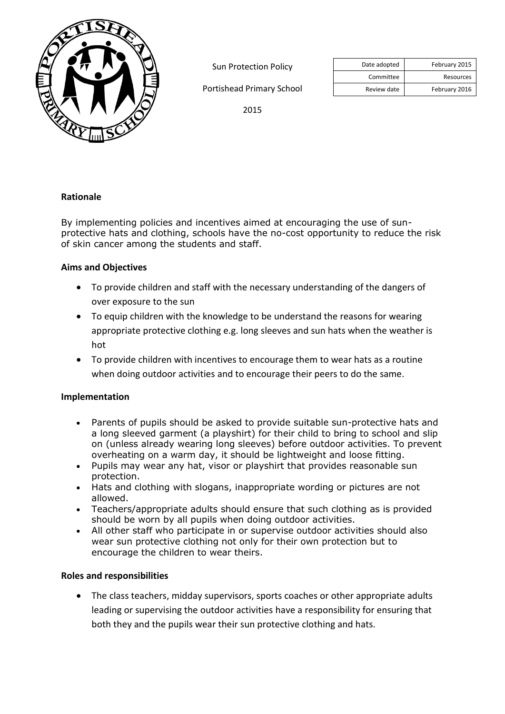

Sun Protection Policy

Portishead Primary School

|           | February 2015 | Date adopted |
|-----------|---------------|--------------|
| Resources |               | Committee    |
|           | February 2016 | Review date  |

2015

## **Rationale**

By implementing policies and incentives aimed at encouraging the use of sunprotective hats and clothing, schools have the no-cost opportunity to reduce the risk of skin cancer among the students and staff.

## **Aims and Objectives**

- To provide children and staff with the necessary understanding of the dangers of over exposure to the sun
- To equip children with the knowledge to be understand the reasons for wearing appropriate protective clothing e.g. long sleeves and sun hats when the weather is hot
- To provide children with incentives to encourage them to wear hats as a routine when doing outdoor activities and to encourage their peers to do the same.

## **Implementation**

- Parents of pupils should be asked to provide suitable sun-protective hats and a long sleeved garment (a playshirt) for their child to bring to school and slip on (unless already wearing long sleeves) before outdoor activities. To prevent overheating on a warm day, it should be lightweight and loose fitting.
- Pupils may wear any hat, visor or playshirt that provides reasonable sun protection.
- Hats and clothing with slogans, inappropriate wording or pictures are not allowed.
- Teachers/appropriate adults should ensure that such clothing as is provided should be worn by all pupils when doing outdoor activities.
- All other staff who participate in or supervise outdoor activities should also wear sun protective clothing not only for their own protection but to encourage the children to wear theirs.

## **Roles and responsibilities**

 The class teachers, midday supervisors, sports coaches or other appropriate adults leading or supervising the outdoor activities have a responsibility for ensuring that both they and the pupils wear their sun protective clothing and hats.